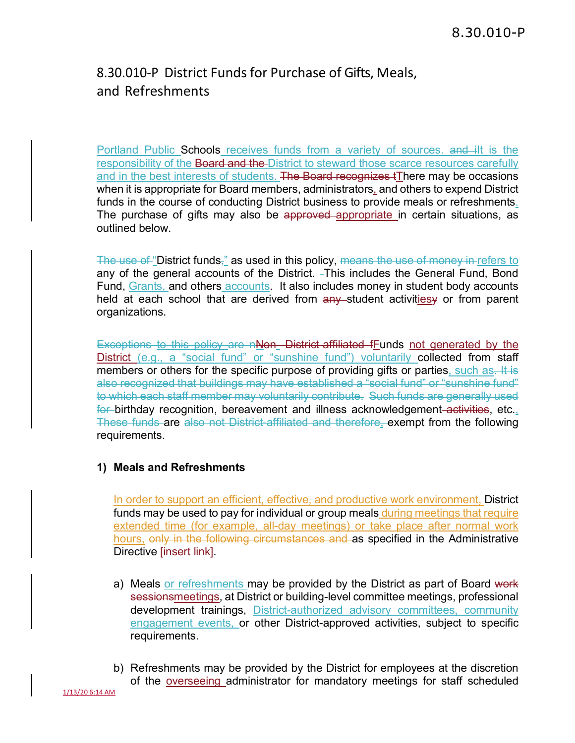## 8.30.010-P District Funds for Purchase of Gifts, Meals, and Refreshments

Portland Public Schools receives funds from a variety of sources. and ilt is the responsibility of the Board and the District to steward those scarce resources carefully and in the best interests of students. The Board recognizes tThere may be occasions when it is appropriate for Board members, administrators, and others to expend District funds in the course of conducting District business to provide meals or refreshments. The purchase of gifts may also be approved appropriate in certain situations, as outlined below.

The use of "District funds," as used in this policy, means the use of money in refers to any of the general accounts of the District. -This includes the General Fund, Bond Fund, Grants, and others accounts. It also includes money in student body accounts held at each school that are derived from any student activitiesy or from parent organizations.

Exceptions to this policy are nNon-District-affiliated fFunds not generated by the District (e.g., a "social fund" or "sunshine fund") voluntarily collected from staff members or others for the specific purpose of providing gifts or parties, such as. It is also recognized that buildings may have established a "social fund" or "sunshine fund" to which each staff member may voluntarily contribute. Such funds are generally used for birthday recognition, bereavement and illness acknowledgement activities, etc., These funds are also not District-affiliated and therefore, exempt from the following requirements.

## **1) Meals and Refreshments**

In order to support an efficient, effective, and productive work environment, District funds may be used to pay for individual or group meals during meetings that require extended time (for example, all-day meetings) or take place after normal work hours, only in the following circumstances and as specified in the Administrative Directive [insert link].

- a) Meals or refreshments may be provided by the District as part of Board work sessionsmeetings, at District or building-level committee meetings, professional development trainings, District-authorized advisory committees, community engagement events, or other District-approved activities, subject to specific requirements.
- b) Refreshments may be provided by the District for employees at the discretion of the overseeing administrator for mandatory meetings for staff scheduled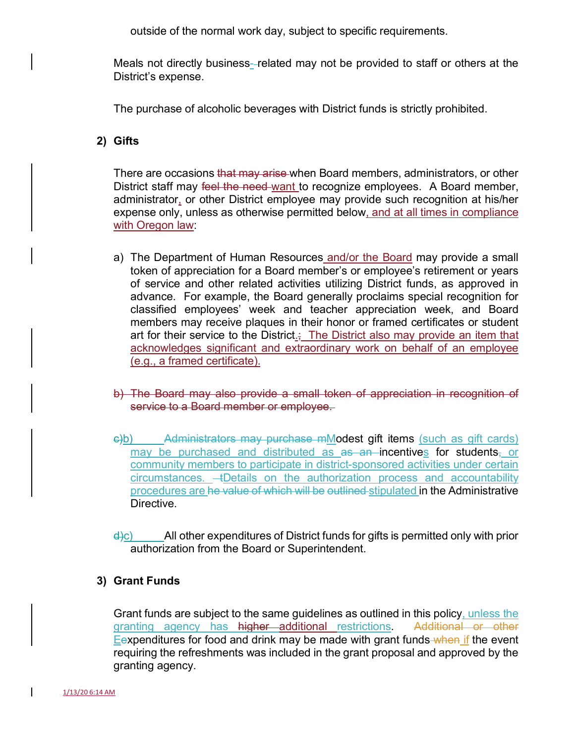outside of the normal work day, subject to specific requirements.

Meals not directly business- related may not be provided to staff or others at the District's expense.

The purchase of alcoholic beverages with District funds is strictly prohibited.

## **2) Gifts**

There are occasions that may arise when Board members, administrators, or other District staff may feel the need-want to recognize employees. A Board member, administrator, or other District employee may provide such recognition at his/her expense only, unless as otherwise permitted below, and at all times in compliance with Oregon law:

- a) The Department of Human Resources and/or the Board may provide a small token of appreciation for a Board member's or employee's retirement or years of service and other related activities utilizing District funds, as approved in advance. For example, the Board generally proclaims special recognition for classified employees' week and teacher appreciation week, and Board members may receive plaques in their honor or framed certificates or student art for their service to the District $\frac{1}{x}$ . The District also may provide an item that acknowledges significant and extraordinary work on behalf of an employee (e.g., a framed certificate).
- b) The Board may also provide a small token of appreciation in recognition of service to a Board member or employee.
- c)b) Administrators may purchase mModest gift items (such as gift cards) may be purchased and distributed as  $a\overline{s}$  an incentives for students, or community members to participate in district-sponsored activities under certain circumstances. - EDetails on the authorization process and accountability procedures are he value of which will be outlined stipulated in the Administrative Directive.

 $\frac{d}{c}$  All other expenditures of District funds for gifts is permitted only with prior authorization from the Board or Superintendent.

## **3) Grant Funds**

Grant funds are subject to the same guidelines as outlined in this policy, unless the granting agency has higher additional restrictions. Additional or other Eexpenditures for food and drink may be made with grant funds when if the event requiring the refreshments was included in the grant proposal and approved by the granting agency.